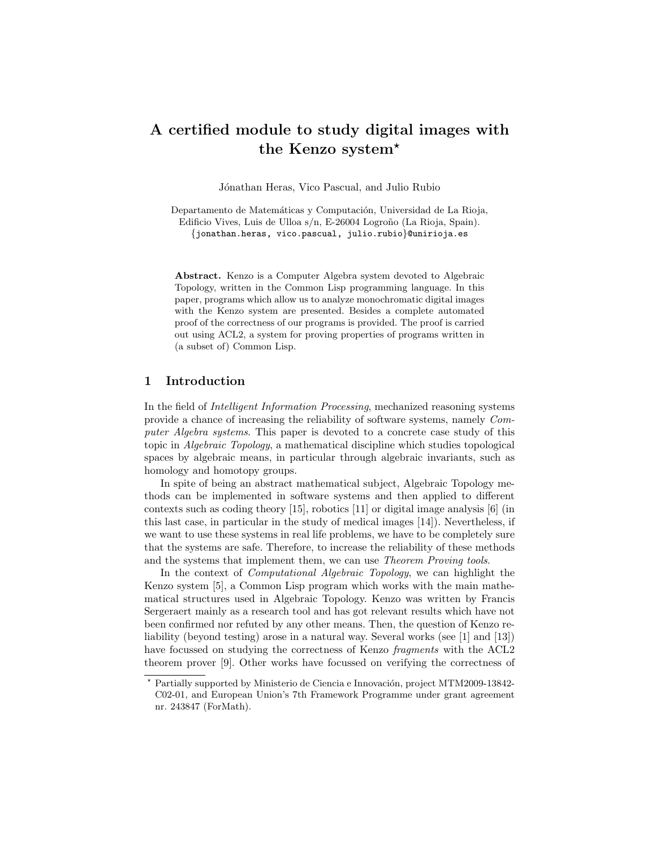# A certified module to study digital images with the Kenzo system?

Jónathan Heras, Vico Pascual, and Julio Rubio

Departamento de Matemáticas y Computación, Universidad de La Rioja, Edificio Vives, Luis de Ulloa s/n, E-26004 Logroño (La Rioja, Spain). {jonathan.heras, vico.pascual, julio.rubio}@unirioja.es

Abstract. Kenzo is a Computer Algebra system devoted to Algebraic Topology, written in the Common Lisp programming language. In this paper, programs which allow us to analyze monochromatic digital images with the Kenzo system are presented. Besides a complete automated proof of the correctness of our programs is provided. The proof is carried out using ACL2, a system for proving properties of programs written in (a subset of) Common Lisp.

## 1 Introduction

In the field of Intelligent Information Processing, mechanized reasoning systems provide a chance of increasing the reliability of software systems, namely Computer Algebra systems. This paper is devoted to a concrete case study of this topic in Algebraic Topology, a mathematical discipline which studies topological spaces by algebraic means, in particular through algebraic invariants, such as homology and homotopy groups.

In spite of being an abstract mathematical subject, Algebraic Topology methods can be implemented in software systems and then applied to different contexts such as coding theory [\[15\]](#page-7-0), robotics [\[11\]](#page-7-1) or digital image analysis [\[6\]](#page-7-2) (in this last case, in particular in the study of medical images [\[14\]](#page-7-3)). Nevertheless, if we want to use these systems in real life problems, we have to be completely sure that the systems are safe. Therefore, to increase the reliability of these methods and the systems that implement them, we can use Theorem Proving tools.

In the context of Computational Algebraic Topology, we can highlight the Kenzo system [\[5\]](#page-7-4), a Common Lisp program which works with the main mathematical structures used in Algebraic Topology. Kenzo was written by Francis Sergeraert mainly as a research tool and has got relevant results which have not been confirmed nor refuted by any other means. Then, the question of Kenzo reliability (beyond testing) arose in a natural way. Several works (see [\[1\]](#page-7-5) and [\[13\]](#page-7-6)) have focussed on studying the correctness of Kenzo fragments with the ACL2 theorem prover [\[9\]](#page-7-7). Other works have focussed on verifying the correctness of

Partially supported by Ministerio de Ciencia e Innovación, project MTM2009-13842-C02-01, and European Union's 7th Framework Programme under grant agreement nr. 243847 (ForMath).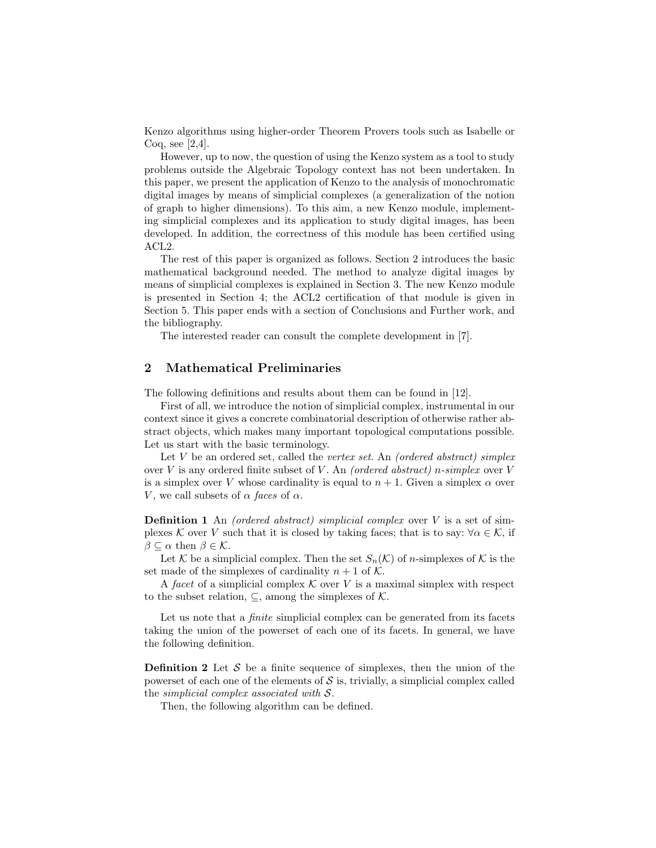Kenzo algorithms using higher-order Theorem Provers tools such as Isabelle or Coq, see [\[2](#page-7-8)[,4\]](#page-7-9).

However, up to now, the question of using the Kenzo system as a tool to study problems outside the Algebraic Topology context has not been undertaken. In this paper, we present the application of Kenzo to the analysis of monochromatic digital images by means of simplicial complexes (a generalization of the notion of graph to higher dimensions). To this aim, a new Kenzo module, implementing simplicial complexes and its application to study digital images, has been developed. In addition, the correctness of this module has been certified using ACL2.

The rest of this paper is organized as follows. Section [2](#page-1-0) introduces the basic mathematical background needed. The method to analyze digital images by means of simplicial complexes is explained in Section [3.](#page-3-0) The new Kenzo module is presented in Section [4;](#page-4-0) the ACL2 certification of that module is given in Section [5.](#page-5-0) This paper ends with a section of Conclusions and Further work, and the bibliography.

The interested reader can consult the complete development in [\[7\]](#page-7-10).

## <span id="page-1-0"></span>2 Mathematical Preliminaries

The following definitions and results about them can be found in [\[12\]](#page-7-11).

First of all, we introduce the notion of simplicial complex, instrumental in our context since it gives a concrete combinatorial description of otherwise rather abstract objects, which makes many important topological computations possible. Let us start with the basic terminology.

Let  $V$  be an ordered set, called the vertex set. An (ordered abstract) simplex over  $V$  is any ordered finite subset of  $V$ . An *(ordered abstract)* n-simplex over  $V$ is a simplex over V whose cardinality is equal to  $n + 1$ . Given a simplex  $\alpha$  over V, we call subsets of  $\alpha$  faces of  $\alpha$ .

**Definition 1** An *(ordered abstract)* simplicial complex over  $V$  is a set of simplexes K over V such that it is closed by taking faces; that is to say:  $\forall \alpha \in \mathcal{K}$ , if  $\beta \subset \alpha$  then  $\beta \in \mathcal{K}$ .

Let K be a simplicial complex. Then the set  $S_n(\mathcal{K})$  of n-simplexes of K is the set made of the simplexes of cardinality  $n + 1$  of K.

A facet of a simplicial complex  $K$  over V is a maximal simplex with respect to the subset relation,  $\subseteq$ , among the simplexes of K.

Let us note that a *finite* simplicial complex can be generated from its facets taking the union of the powerset of each one of its facets. In general, we have the following definition.

**Definition 2** Let  $S$  be a finite sequence of simplexes, then the union of the powerset of each one of the elements of  $\mathcal S$  is, trivially, a simplicial complex called the simplicial complex associated with S.

Then, the following algorithm can be defined.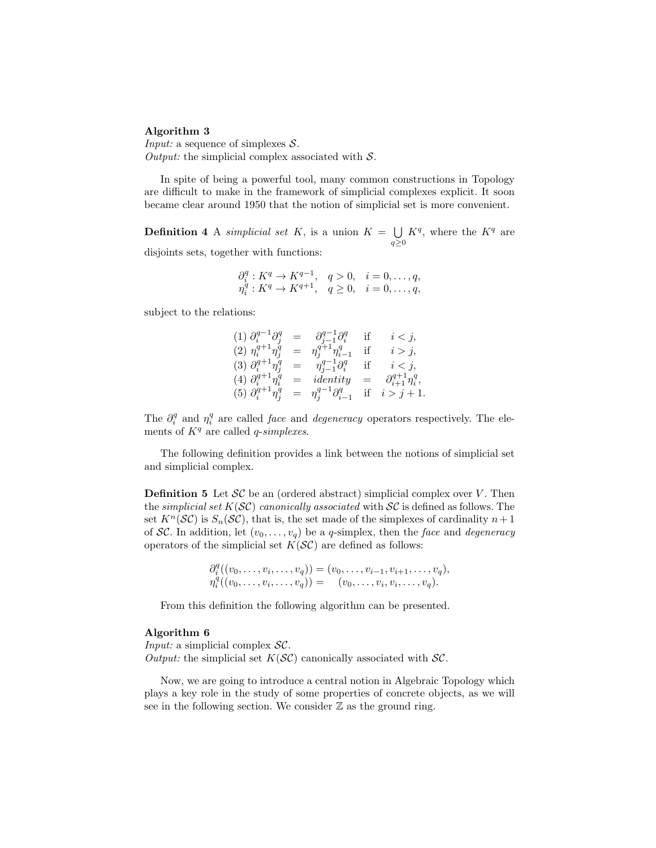#### <span id="page-2-0"></span>Algorithm 3 .

*Input:* a sequence of simplexes  $S$ . Output: the simplicial complex associated with  $S$ .

In spite of being a powerful tool, many common constructions in Topology are difficult to make in the framework of simplicial complexes explicit. It soon became clear around 1950 that the notion of simplicial set is more convenient.

**Definition 4** A simplicial set K, is a union  $K = \bigcup K^q$ , where the  $K^q$  are  $q\geq 0$ disjoints sets, together with functions:

$$
\begin{array}{ll}\n\partial_i^q: K^q \to K^{q-1}, & q > 0, & i = 0, \dots, q, \\
\eta_i^q: K^q \to K^{q+1}, & q \ge 0, & i = 0, \dots, q,\n\end{array}
$$

subject to the relations:

(1) 
$$
\partial_i^{q-1} \partial_j^q = \partial_{j-1}^{q-1} \partial_i^q
$$
 if  $i < j$ ,  
\n(2)  $\eta_i^{q+1} \eta_j^q = \eta_j^{q+1} \eta_{i-1}^q$  if  $i > j$ ,  
\n(3)  $\partial_i^{q+1} \eta_j^q = \eta_{j-1}^{q-1} \partial_i^q$  if  $i < j$ ,  
\n(4)  $\partial_i^{q+1} \eta_i^q =$  identity  $= \partial_{i+1}^{q+1} \eta_i^q$ ,  
\n(5)  $\partial_i^{q+1} \eta_j^q = \eta_j^{q-1} \partial_{i-1}^q$  if  $i > j + 1$ .

The  $\partial_i^q$  and  $\eta_i^q$  are called *face* and *degeneracy* operators respectively. The elements of  $K<sup>q</sup>$  are called *q*-simplexes.

The following definition provides a link between the notions of simplicial set and simplicial complex.

**Definition 5** Let  $SC$  be an (ordered abstract) simplicial complex over V. Then the simplicial set  $K(SC)$  canonically associated with  $SC$  is defined as follows. The set  $K^n(\mathcal{SC})$  is  $S_n(\mathcal{SC})$ , that is, the set made of the simplexes of cardinality  $n+1$ of SC. In addition, let  $(v_0, \ldots, v_q)$  be a q-simplex, then the face and degeneracy operators of the simplicial set  $K(S\mathcal{C})$  are defined as follows:

$$
\partial_i^q((v_0,\ldots,v_i,\ldots,v_q)) = (v_0,\ldots,v_{i-1},v_{i+1},\ldots,v_q), \n\eta_i^q((v_0,\ldots,v_i,\ldots,v_q)) = (v_0,\ldots,v_i,v_i,\ldots,v_q).
$$

From this definition the following algorithm can be presented.

#### <span id="page-2-1"></span>Algorithm 6

 $\sim$   $\alpha$ 

Input: a simplicial complex  $SC$ . Output: the simplicial set  $K(S\mathcal{C})$  canonically associated with  $\mathcal{SC}$ .

Now, we are going to introduce a central notion in Algebraic Topology which plays a key role in the study of some properties of concrete objects, as we will see in the following section. We consider  $\mathbb Z$  as the ground ring.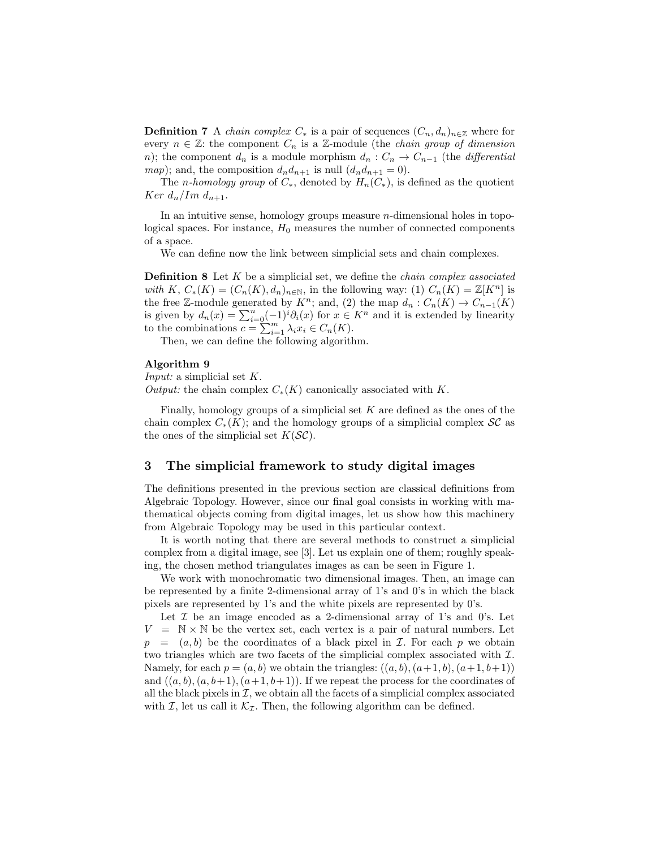**Definition 7** A *chain complex*  $C_*$  is a pair of sequences  $(C_n, d_n)_{n \in \mathbb{Z}}$  where for every  $n \in \mathbb{Z}$ : the component  $C_n$  is a  $\mathbb{Z}$ -module (the *chain group of dimension* n); the component  $d_n$  is a module morphism  $d_n: C_n \to C_{n-1}$  (the *differential* map); and, the composition  $d_n d_{n+1}$  is null  $(d_n d_{n+1} = 0)$ .

The *n-homology group* of  $C_*$ , denoted by  $H_n(C_*)$ , is defined as the quotient Ker  $d_n/Im\ d_{n+1}$ .

In an intuitive sense, homology groups measure  $n$ -dimensional holes in topological spaces. For instance,  $H_0$  measures the number of connected components of a space.

We can define now the link between simplicial sets and chain complexes.

**Definition 8** Let  $K$  be a simplicial set, we define the *chain complex associated* with K,  $C_*(K) = (C_n(K), d_n)_{n \in \mathbb{N}}$ , in the following way: (1)  $C_n(K) = \mathbb{Z}[K^n]$  is the free Z-module generated by  $K^n$ ; and, (2) the map  $d_n: C_n(K) \to C_{n-1}(K)$ is given by  $d_n(x) = \sum_{i=0}^n (-1)^i \partial_i(x)$  for  $x \in K^n$  and it is extended by linearity to the combinations  $c = \sum_{i=1}^{n} \lambda_i x_i \in C_n(K)$ .

Then, we can define the following algorithm.

#### <span id="page-3-2"></span>Algorithm 9

*Input:* a simplicial set  $K$ .

*Output:* the chain complex  $C_*(K)$  canonically associated with K.

Finally, homology groups of a simplicial set  $K$  are defined as the ones of the chain complex  $C_*(K)$ ; and the homology groups of a simplicial complex  $\mathcal{SC}$  as the ones of the simplicial set  $K(S\mathcal{C})$ .

## <span id="page-3-0"></span>3 The simplicial framework to study digital images

The definitions presented in the previous section are classical definitions from Algebraic Topology. However, since our final goal consists in working with mathematical objects coming from digital images, let us show how this machinery from Algebraic Topology may be used in this particular context.

It is worth noting that there are several methods to construct a simplicial complex from a digital image, see [\[3\]](#page-7-12). Let us explain one of them; roughly speaking, the chosen method triangulates images as can be seen in Figure [1.](#page-4-1)

We work with monochromatic two dimensional images. Then, an image can be represented by a finite 2-dimensional array of 1's and 0's in which the black pixels are represented by 1's and the white pixels are represented by 0's.

<span id="page-3-1"></span>Let  $\mathcal I$  be an image encoded as a 2-dimensional array of 1's and 0's. Let  $V = \mathbb{N} \times \mathbb{N}$  be the vertex set, each vertex is a pair of natural numbers. Let  $p = (a, b)$  be the coordinates of a black pixel in *I*. For each p we obtain two triangles which are two facets of the simplicial complex associated with I. Namely, for each  $p = (a, b)$  we obtain the triangles:  $((a, b), (a+1, b), (a+1, b+1))$ and  $((a, b), (a, b+1), (a+1, b+1))$ . If we repeat the process for the coordinates of all the black pixels in  $\mathcal{I}$ , we obtain all the facets of a simplicial complex associated with I, let us call it  $\mathcal{K}_{\mathcal{I}}$ . Then, the following algorithm can be defined.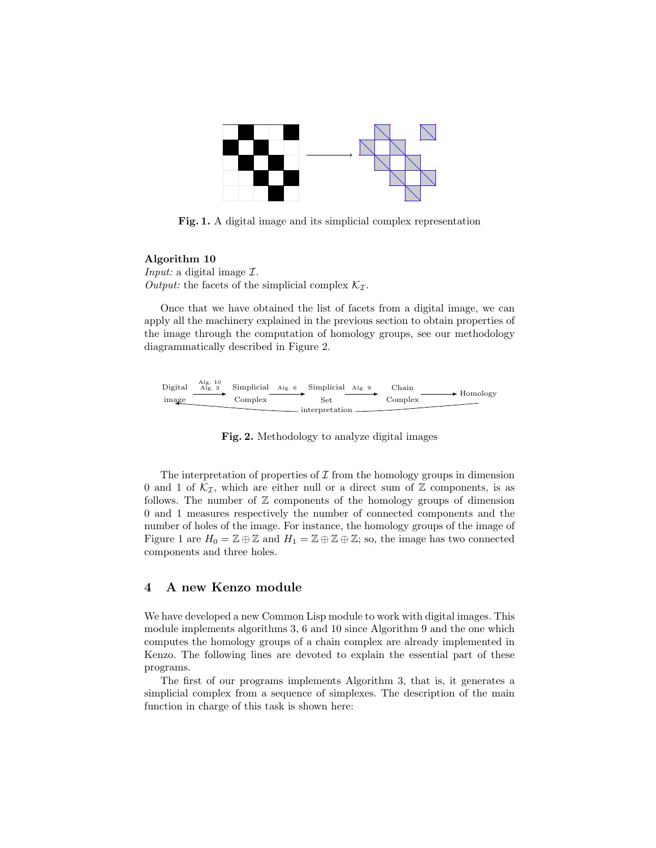

<span id="page-4-1"></span>Fig. 1. A digital image and its simplicial complex representation

#### Algorithm 10

*Input:* a digital image  $I$ . Output: the facets of the simplicial complex  $\mathcal{K}_{\mathcal{I}}$ .

Once that we have obtained the list of facets from a digital image, we can apply all the machinery explained in the previous section to obtain properties of the image through the computation of homology groups, see our methodology diagrammatically described in Figure [2.](#page-4-2)



<span id="page-4-2"></span>Fig. 2. Methodology to analyze digital images

The interpretation of properties of  $\mathcal I$  from the homology groups in dimension 0 and 1 of  $\mathcal{K}_{\mathcal{I}}$ , which are either null or a direct sum of  $\mathbb Z$  components, is as follows. The number of  $Z$  components of the homology groups of dimension 0 and 1 measures respectively the number of connected components and the number of holes of the image. For instance, the homology groups of the image of Figure [1](#page-4-1) are  $H_0 = \mathbb{Z} \oplus \mathbb{Z}$  and  $H_1 = \mathbb{Z} \oplus \mathbb{Z} \oplus \mathbb{Z}$ ; so, the image has two connected components and three holes.

## <span id="page-4-0"></span>4 A new Kenzo module

We have developed a new Common Lisp module to work with digital images. This module implements algorithms [3,](#page-2-0) [6](#page-2-1) and [10](#page-3-1) since Algorithm [9](#page-3-2) and the one which computes the homology groups of a chain complex are already implemented in Kenzo. The following lines are devoted to explain the essential part of these programs.

The first of our programs implements Algorithm [3,](#page-2-0) that is, it generates a simplicial complex from a sequence of simplexes. The description of the main function in charge of this task is shown here: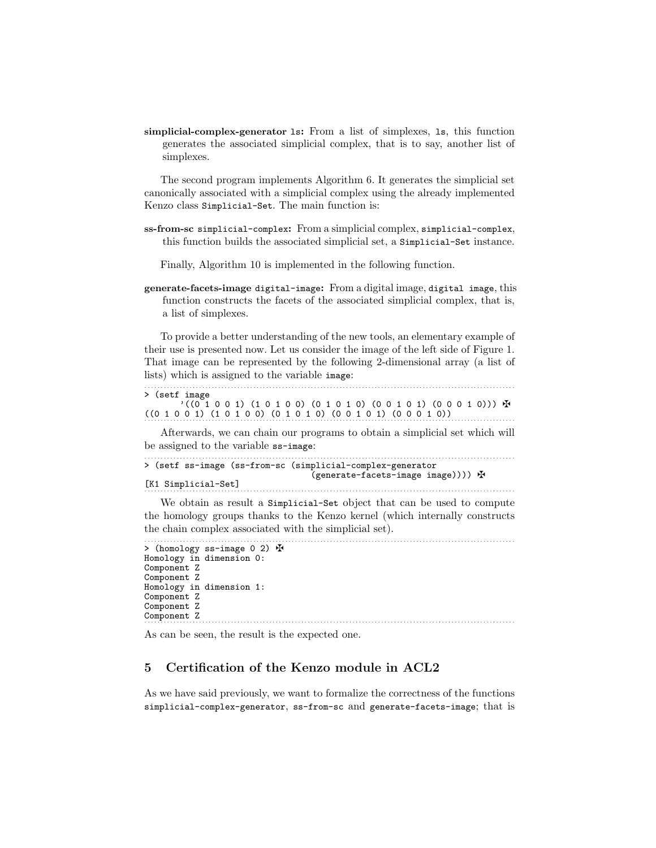simplicial-complex-generator ls: From a list of simplexes, ls, this function generates the associated simplicial complex, that is to say, another list of simplexes.

The second program implements Algorithm [6.](#page-2-1) It generates the simplicial set canonically associated with a simplicial complex using the already implemented Kenzo class Simplicial-Set. The main function is:

ss-from-sc simplicial-complex: From a simplicial complex, simplicial-complex, this function builds the associated simplicial set, a Simplicial-Set instance.

Finally, Algorithm [10](#page-3-1) is implemented in the following function.

generate-facets-image digital-image: From a digital image, digital image, this function constructs the facets of the associated simplicial complex, that is, a list of simplexes.

To provide a better understanding of the new tools, an elementary example of their use is presented now. Let us consider the image of the left side of Figure [1.](#page-4-1) That image can be represented by the following 2-dimensional array (a list of lists) which is assigned to the variable image:

. . . . . . . . . . . . . . . . . . . . . . . . . . . . . . . . . . . . . . . . . . . . . . . . . . . . . . . . . . . . . . . . . . . . . . . . . . . . . . . . . . . . . . . . . . . . . . . . . . . . . . . . . . . . . . . . . . . . > (setf image  $'$ ((0 1 0 0 1) (1 0 1 0 0) (0 1 0 1 0) (0 0 1 0 1) (0 0 0 1 0)))  $\cdot$  $((0\ 1\ 0\ 0\ 1)\ (1\ 0\ 1\ 0\ 0)\ (0\ 1\ 0\ 1\ 0)\ (0\ 0\ 1\ 0\ 1)\ (0\ 0\ 0\ 1\ 0))$ 

Afterwards, we can chain our programs to obtain a simplicial set which will be assigned to the variable ss-image:

```
. . . . . . . . . . . . . . . . . . . . . . . . . . . . . . . . . . . . . . . . . . . . . . . . . . . . . . . . . . . . . . . . . . . . . . . . . . . . . . . . . . . . . . . . . . . . . . . . . . . . . . . . . . . . . . . . . . . .
> (setf ss-image (ss-from-sc (simplicial-complex-generator
                                                                                            (generate-facets-image image)))) z
[K1 Simplicial-Set]
. . . . . . . . . . . . . . . . . . . . . . . . . . . . . . . . . . . . . . . . . . . . . . . . . . . . . . . . . . . . . . . . . . . . . . . . . . . . . . . . . . . . . . . . . . . . . . . . . . . . . . . . . . . . . . . . . . . .
```
We obtain as result a Simplicial-Set object that can be used to compute the homology groups thanks to the Kenzo kernel (which internally constructs the chain complex associated with the simplicial set).

. . . . . . . . . . . . . . . . . . . . . . . . . . . . . . . . . . . . . . . . . . . . . . . . . . . . . . . . . . . . . . . . . . . . . . . . . . . . . . . . . . . . . . . . . . . . . . . . . . . . . . . . . . . . . . . . . . . .

```
> (homology ss-image 0 2) \mathbf{\mathcal{F}}Homology in dimension 0:
Component Z
Component Z
Homology in dimension 1:
Component Z
Component Z
Component Z
. . . . . . . . . . . . . . . . . . . . . . . . . . . . . . . . . . . . . . . . . . . . . . . . . . . . . . . . . . . . . . . . . . . . . . . . . . . . . . . . . . . . . . . . . . . . . . . . . . . . . . . . . . . . . . . . . . . .
```
As can be seen, the result is the expected one.

## <span id="page-5-0"></span>5 Certification of the Kenzo module in ACL2

As we have said previously, we want to formalize the correctness of the functions simplicial-complex-generator, ss-from-sc and generate-facets-image; that is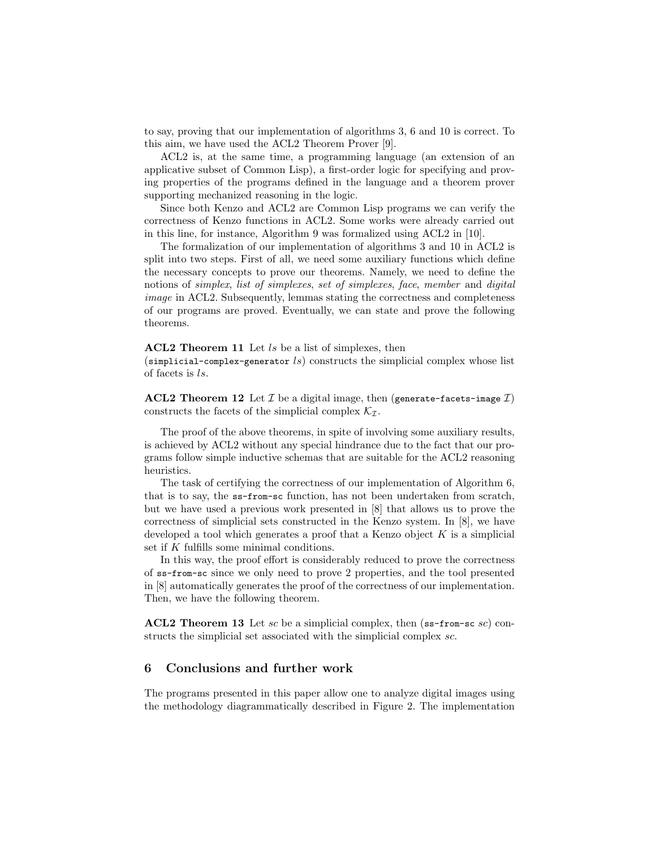to say, proving that our implementation of algorithms [3,](#page-2-0) [6](#page-2-1) and [10](#page-3-1) is correct. To this aim, we have used the ACL2 Theorem Prover [\[9\]](#page-7-7).

ACL2 is, at the same time, a programming language (an extension of an applicative subset of Common Lisp), a first-order logic for specifying and proving properties of the programs defined in the language and a theorem prover supporting mechanized reasoning in the logic.

Since both Kenzo and ACL2 are Common Lisp programs we can verify the correctness of Kenzo functions in ACL2. Some works were already carried out in this line, for instance, Algorithm [9](#page-3-2) was formalized using ACL2 in [\[10\]](#page-7-13).

The formalization of our implementation of algorithms [3](#page-2-0) and [10](#page-3-1) in ACL2 is split into two steps. First of all, we need some auxiliary functions which define the necessary concepts to prove our theorems. Namely, we need to define the notions of *simplex*, list of *simplexes*, set of *simplexes*, face, *member* and *digital* image in ACL2. Subsequently, lemmas stating the correctness and completeness of our programs are proved. Eventually, we can state and prove the following theorems.

#### ACL2 Theorem 11 Let ls be a list of simplexes, then

 $(\text{simplicial-complex-generator } ls)$  constructs the simplicial complex whose list of facets is ls.

**ACL2** Theorem 12 Let  $\mathcal{I}$  be a digital image, then (generate-facets-image  $\mathcal{I}$ ) constructs the facets of the simplicial complex  $\mathcal{K}_{\mathcal{I}}$ .

The proof of the above theorems, in spite of involving some auxiliary results, is achieved by ACL2 without any special hindrance due to the fact that our programs follow simple inductive schemas that are suitable for the ACL2 reasoning heuristics.

The task of certifying the correctness of our implementation of Algorithm [6,](#page-2-1) that is to say, the ss-from-sc function, has not been undertaken from scratch, but we have used a previous work presented in [\[8\]](#page-7-14) that allows us to prove the correctness of simplicial sets constructed in the Kenzo system. In [\[8\]](#page-7-14), we have developed a tool which generates a proof that a Kenzo object  $K$  is a simplicial set if K fulfills some minimal conditions.

In this way, the proof effort is considerably reduced to prove the correctness of ss-from-sc since we only need to prove 2 properties, and the tool presented in [\[8\]](#page-7-14) automatically generates the proof of the correctness of our implementation. Then, we have the following theorem.

ACL2 Theorem 13 Let sc be a simplicial complex, then (ss-from-sc sc) constructs the simplicial set associated with the simplicial complex sc.

## 6 Conclusions and further work

The programs presented in this paper allow one to analyze digital images using the methodology diagrammatically described in Figure [2.](#page-4-2) The implementation